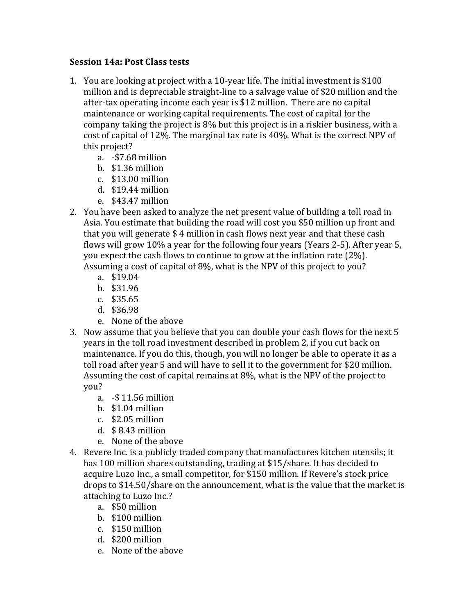## **Session 14a: Post Class tests**

- 1. You are looking at project with a 10-year life. The initial investment is \$100 million and is depreciable straight-line to a salvage value of \$20 million and the after-tax operating income each year is \$12 million. There are no capital maintenance or working capital requirements. The cost of capital for the company taking the project is 8% but this project is in a riskier business, with a cost of capital of 12%. The marginal tax rate is 40%. What is the correct NPV of this project?
	- a. -\$7.68 million
	- b. \$1.36 million
	- $c.$  \$13.00 million
	- d. \$19.44 million
	- e. \$43.47 million
- 2. You have been asked to analyze the net present value of building a toll road in Asia. You estimate that building the road will cost you \$50 million up front and that you will generate  $$4$  million in cash flows next year and that these cash flows will grow 10% a year for the following four years (Years 2-5). After year 5, you expect the cash flows to continue to grow at the inflation rate  $(2\%)$ . Assuming a cost of capital of  $8\%$ , what is the NPV of this project to you?
	- a. \$19.04
	- b. \$31.96
	- c. \$35.65
	- d. \$36.98
	- e. None of the above
- 3. Now assume that you believe that you can double your cash flows for the next 5 years in the toll road investment described in problem 2, if you cut back on maintenance. If you do this, though, you will no longer be able to operate it as a toll road after year 5 and will have to sell it to the government for \$20 million. Assuming the cost of capital remains at  $8\%$ , what is the NPV of the project to you?
	- a. -\$ 11.56 million
	- b.  $$1.04$  million
	- $c.$  \$2.05 million
	- d.  $$8.43$  million
	- e. None of the above
- 4. Revere Inc. is a publicly traded company that manufactures kitchen utensils; it has 100 million shares outstanding, trading at \$15/share. It has decided to acquire Luzo Inc., a small competitor, for \$150 million. If Revere's stock price drops to \$14.50/share on the announcement, what is the value that the market is attaching to Luzo Inc.?
	- a. \$50 million
	- b. \$100 million
	- $c.$  \$150 million
	- d. \$200 million
	- e. None of the above